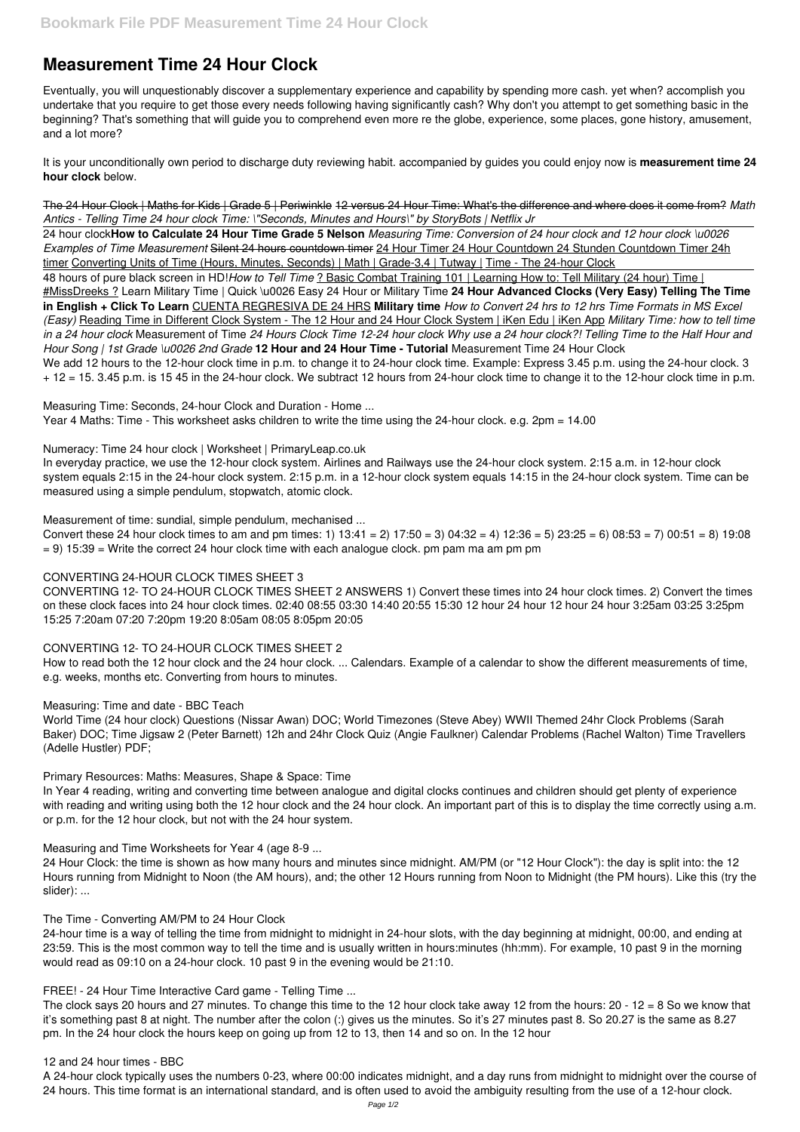# **Measurement Time 24 Hour Clock**

Eventually, you will unquestionably discover a supplementary experience and capability by spending more cash. yet when? accomplish you undertake that you require to get those every needs following having significantly cash? Why don't you attempt to get something basic in the beginning? That's something that will guide you to comprehend even more re the globe, experience, some places, gone history, amusement, and a lot more?

24 hour clock**How to Calculate 24 Hour Time Grade 5 Nelson** *Measuring Time: Conversion of 24 hour clock and 12 hour clock \u0026 Examples of Time Measurement* Silent 24 hours countdown timer 24 Hour Timer 24 Hour Countdown 24 Stunden Countdown Timer 24h timer Converting Units of Time (Hours, Minutes, Seconds) | Math | Grade-3,4 | Tutway | Time - The 24-hour Clock

It is your unconditionally own period to discharge duty reviewing habit. accompanied by guides you could enjoy now is **measurement time 24 hour clock** below.

48 hours of pure black screen in HD!*How to Tell Time* ? Basic Combat Training 101 | Learning How to: Tell Military (24 hour) Time | #MissDreeks ? Learn Military Time | Quick \u0026 Easy 24 Hour or Military Time **24 Hour Advanced Clocks (Very Easy) Telling The Time in English + Click To Learn** CUENTA REGRESIVA DE 24 HRS **Military time** *How to Convert 24 hrs to 12 hrs Time Formats in MS Excel (Easy)* Reading Time in Different Clock System - The 12 Hour and 24 Hour Clock System | iKen Edu | iKen App *Military Time: how to tell time in a 24 hour clock* Measurement of Time *24 Hours Clock Time 12-24 hour clock Why use a 24 hour clock?! Telling Time to the Half Hour and Hour Song | 1st Grade \u0026 2nd Grade* **12 Hour and 24 Hour Time - Tutorial** Measurement Time 24 Hour Clock We add 12 hours to the 12-hour clock time in p.m. to change it to 24-hour clock time. Example: Express 3.45 p.m. using the 24-hour clock. 3 + 12 = 15. 3.45 p.m. is 15 45 in the 24-hour clock. We subtract 12 hours from 24-hour clock time to change it to the 12-hour clock time in p.m.

The 24 Hour Clock | Maths for Kids | Grade 5 | Periwinkle 12 versus 24 Hour Time: What's the difference and where does it come from? *Math Antics - Telling Time 24 hour clock Time: \"Seconds, Minutes and Hours\" by StoryBots | Netflix Jr*

Measuring Time: Seconds, 24-hour Clock and Duration - Home ...

Year 4 Maths: Time - This worksheet asks children to write the time using the 24-hour clock. e.g. 2pm = 14.00

Numeracy: Time 24 hour clock | Worksheet | PrimaryLeap.co.uk

In everyday practice, we use the 12-hour clock system. Airlines and Railways use the 24-hour clock system. 2:15 a.m. in 12-hour clock system equals 2:15 in the 24-hour clock system. 2:15 p.m. in a 12-hour clock system equals 14:15 in the 24-hour clock system. Time can be measured using a simple pendulum, stopwatch, atomic clock.

Measurement of time: sundial, simple pendulum, mechanised ...

Convert these 24 hour clock times to am and pm times: 1)  $13:41 = 2$   $17:50 = 3$   $04:32 = 4$   $12:36 = 5$   $23:25 = 6$   $08:53 = 7$   $00:51 = 8$   $19:08$  $= 9$ ) 15:39  $=$  Write the correct 24 hour clock time with each analogue clock. pm pam ma am pm pm

# CONVERTING 24-HOUR CLOCK TIMES SHEET 3

CONVERTING 12- TO 24-HOUR CLOCK TIMES SHEET 2 ANSWERS 1) Convert these times into 24 hour clock times. 2) Convert the times on these clock faces into 24 hour clock times. 02:40 08:55 03:30 14:40 20:55 15:30 12 hour 24 hour 12 hour 24 hour 3:25am 03:25 3:25pm 15:25 7:20am 07:20 7:20pm 19:20 8:05am 08:05 8:05pm 20:05

# CONVERTING 12- TO 24-HOUR CLOCK TIMES SHEET 2

How to read both the 12 hour clock and the 24 hour clock. ... Calendars. Example of a calendar to show the different measurements of time, e.g. weeks, months etc. Converting from hours to minutes.

# Measuring: Time and date - BBC Teach

World Time (24 hour clock) Questions (Nissar Awan) DOC; World Timezones (Steve Abey) WWII Themed 24hr Clock Problems (Sarah Baker) DOC; Time Jigsaw 2 (Peter Barnett) 12h and 24hr Clock Quiz (Angie Faulkner) Calendar Problems (Rachel Walton) Time Travellers (Adelle Hustler) PDF;

Primary Resources: Maths: Measures, Shape & Space: Time

In Year 4 reading, writing and converting time between analogue and digital clocks continues and children should get plenty of experience with reading and writing using both the 12 hour clock and the 24 hour clock. An important part of this is to display the time correctly using a.m. or p.m. for the 12 hour clock, but not with the 24 hour system.

Measuring and Time Worksheets for Year 4 (age 8-9 ...

24 Hour Clock: the time is shown as how many hours and minutes since midnight. AM/PM (or "12 Hour Clock"): the day is split into: the 12 Hours running from Midnight to Noon (the AM hours), and; the other 12 Hours running from Noon to Midnight (the PM hours). Like this (try the slider): ...

#### The Time - Converting AM/PM to 24 Hour Clock

24-hour time is a way of telling the time from midnight to midnight in 24-hour slots, with the day beginning at midnight, 00:00, and ending at 23:59. This is the most common way to tell the time and is usually written in hours:minutes (hh:mm). For example, 10 past 9 in the morning would read as 09:10 on a 24-hour clock. 10 past 9 in the evening would be 21:10.

#### FREE! - 24 Hour Time Interactive Card game - Telling Time ...

The clock says 20 hours and 27 minutes. To change this time to the 12 hour clock take away 12 from the hours: 20 - 12 = 8 So we know that it's something past 8 at night. The number after the colon (:) gives us the minutes. So it's 27 minutes past 8. So 20.27 is the same as 8.27 pm. In the 24 hour clock the hours keep on going up from 12 to 13, then 14 and so on. In the 12 hour

#### 12 and 24 hour times - BBC

A 24-hour clock typically uses the numbers 0-23, where 00:00 indicates midnight, and a day runs from midnight to midnight over the course of 24 hours. This time format is an international standard, and is often used to avoid the ambiguity resulting from the use of a 12-hour clock.